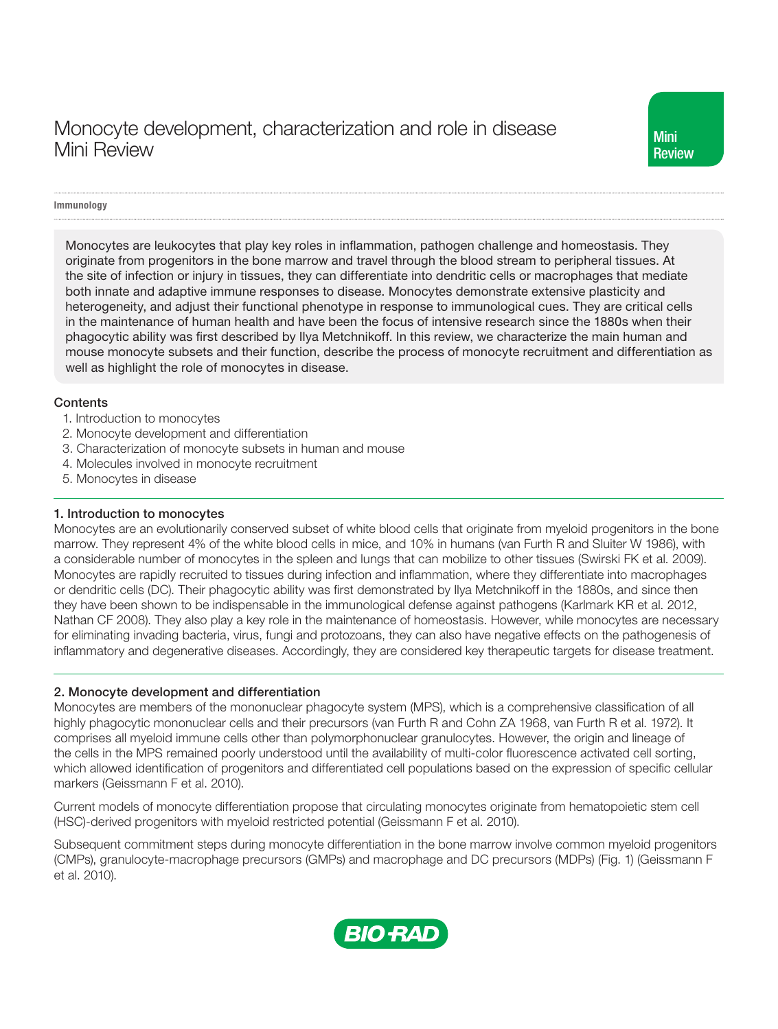# Monocyte development, characterization and role in disease Mini Review

## Immunology

Monocytes are leukocytes that play key roles in inflammation, pathogen challenge and homeostasis. They originate from progenitors in the bone marrow and travel through the blood stream to peripheral tissues. At the site of infection or injury in tissues, they can differentiate into dendritic cells or macrophages that mediate both innate and adaptive immune responses to disease. Monocytes demonstrate extensive plasticity and heterogeneity, and adjust their functional phenotype in response to immunological cues. They are critical cells in the maintenance of human health and have been the focus of intensive research since the 1880s when their phagocytic ability was first described by Ilya Metchnikoff. In this review, we characterize the main human and mouse monocyte subsets and their function, describe the process of monocyte recruitment and differentiation as well as highlight the role of monocytes in disease.

#### **Contents**

- 1. Introduction to monocytes
- 2. Monocyte development and differentiation
- 3. Characterization of monocyte subsets in human and mouse
- 4. Molecules involved in monocyte recruitment
- 5. Monocytes in disease

#### 1. Introduction to monocytes

Monocytes are an evolutionarily conserved subset of white blood cells that originate from myeloid progenitors in the bone marrow. They represent 4% of the white blood cells in mice, and 10% in humans (van Furth R and Sluiter W 1986), with a considerable number of monocytes in the spleen and lungs that can mobilize to other tissues (Swirski FK et al. 2009). Monocytes are rapidly recruited to tissues during infection and inflammation, where they differentiate into macrophages or dendritic cells (DC). Their phagocytic ability was first demonstrated by Ilya Metchnikoff in the 1880s, and since then they have been shown to be indispensable in the immunological defense against pathogens (Karlmark KR et al. 2012, Nathan CF 2008). They also play a key role in the maintenance of homeostasis. However, while monocytes are necessary for eliminating invading bacteria, virus, fungi and protozoans, they can also have negative effects on the pathogenesis of inflammatory and degenerative diseases. Accordingly, they are considered key therapeutic targets for disease treatment.

## 2. Monocyte development and differentiation

Monocytes are members of the mononuclear phagocyte system (MPS), which is a comprehensive classification of all highly phagocytic mononuclear cells and their precursors (van Furth R and Cohn ZA 1968, van Furth R et al. 1972). It comprises all myeloid immune cells other than polymorphonuclear granulocytes. However, the origin and lineage of the cells in the MPS remained poorly understood until the availability of multi-color fluorescence activated cell sorting, which allowed identification of progenitors and differentiated cell populations based on the expression of specific cellular markers (Geissmann F et al. 2010).

Current models of monocyte differentiation propose that circulating monocytes originate from hematopoietic stem cell (HSC)-derived progenitors with myeloid restricted potential (Geissmann F et al. 2010).

Subsequent commitment steps during monocyte differentiation in the bone marrow involve common myeloid progenitors (CMPs), granulocyte-macrophage precursors (GMPs) and macrophage and DC precursors (MDPs) (Fig. 1) (Geissmann F et al. 2010).

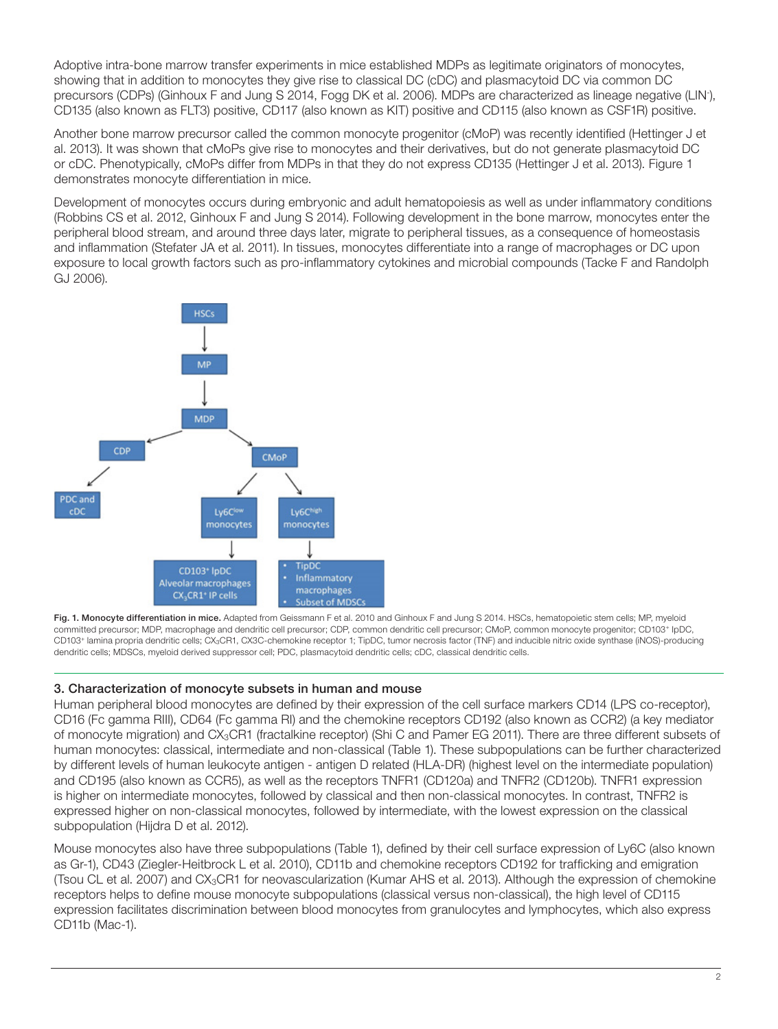Adoptive intra-bone marrow transfer experiments in mice established MDPs as legitimate originators of monocytes, showing that in addition to monocytes they give rise to classical DC (cDC) and plasmacytoid DC via common DC precursors (CDPs) (Ginhoux F and Jung S 2014, Fogg DK et al. 2006). MDPs are characterized as lineage negative (LIN- ), CD135 (also known as FLT3) positive, CD117 (also known as KIT) positive and CD115 (also known as CSF1R) positive.

Another bone marrow precursor called the common monocyte progenitor (cMoP) was recently identified (Hettinger J et al. 2013). It was shown that cMoPs give rise to monocytes and their derivatives, but do not generate plasmacytoid DC or cDC. Phenotypically, cMoPs differ from MDPs in that they do not express CD135 (Hettinger J et al. 2013). Figure 1 demonstrates monocyte differentiation in mice.

Development of monocytes occurs during embryonic and adult hematopoiesis as well as under inflammatory conditions (Robbins CS et al. 2012, Ginhoux F and Jung S 2014). Following development in the bone marrow, monocytes enter the peripheral blood stream, and around three days later, migrate to peripheral tissues, as a consequence of homeostasis and inflammation (Stefater JA et al. 2011). In tissues, monocytes differentiate into a range of macrophages or DC upon exposure to local growth factors such as pro-inflammatory cytokines and microbial compounds (Tacke F and Randolph GJ 2006).



Fig. 1. Monocyte differentiation in mice. Adapted from Geissmann F et al. 2010 and Ginhoux F and Jung S 2014. HSCs, hematopoietic stem cells; MP, myeloid committed precursor; MDP, macrophage and dendritic cell precursor; CDP, common dendritic cell precursor; CMoP, common monocyte progenitor; CD103+ IpDC, CD103<sup>+</sup> lamina propria dendritic cells; CX<sub>3</sub>CR1, CX3C-chemokine receptor 1; TipDC, tumor necrosis factor (TNF) and inducible nitric oxide synthase (iNOS)-producing dendritic cells; MDSCs, myeloid derived suppressor cell; PDC, plasmacytoid dendritic cells; cDC, classical dendritic cells.

## 3. Characterization of monocyte subsets in human and mouse

Human peripheral blood monocytes are defined by their expression of the cell surface markers CD14 (LPS co-receptor), CD16 (Fc gamma RIII), CD64 (Fc gamma RI) and the chemokine receptors CD192 (also known as CCR2) (a key mediator of monocyte migration) and CX3CR1 (fractalkine receptor) (Shi C and Pamer EG 2011). There are three different subsets of human monocytes: classical, intermediate and non-classical (Table 1). These subpopulations can be further characterized by different levels of human leukocyte antigen - antigen D related (HLA-DR) (highest level on the intermediate population) and CD195 (also known as CCR5), as well as the receptors TNFR1 (CD120a) and TNFR2 (CD120b). TNFR1 expression is higher on intermediate monocytes, followed by classical and then non-classical monocytes. In contrast, TNFR2 is expressed higher on non-classical monocytes, followed by intermediate, with the lowest expression on the classical subpopulation (Hijdra D et al. 2012).

Mouse monocytes also have three subpopulations (Table 1), defined by their cell surface expression of Ly6C (also known as Gr-1), CD43 (Ziegler-Heitbrock L et al. 2010), CD11b and chemokine receptors CD192 for trafficking and emigration (Tsou CL et al. 2007) and CX3CR1 for neovascularization (Kumar AHS et al. 2013). Although the expression of chemokine receptors helps to define mouse monocyte subpopulations (classical versus non-classical), the high level of CD115 expression facilitates discrimination between blood monocytes from granulocytes and lymphocytes, which also express CD11b (Mac-1).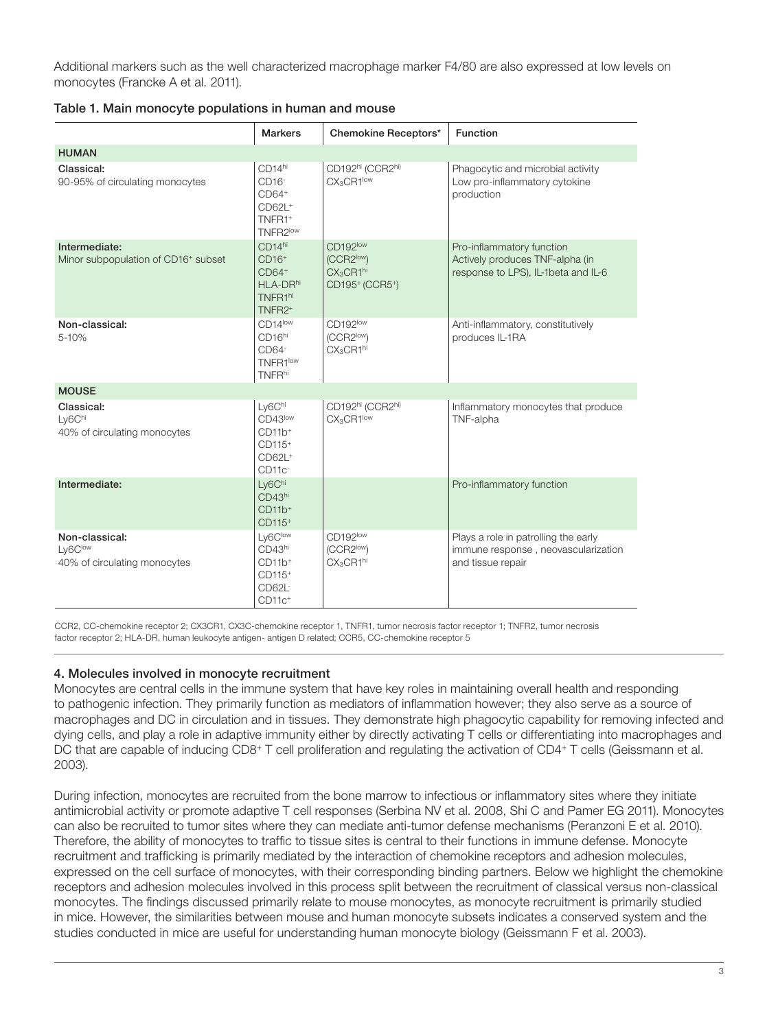Additional markers such as the well characterized macrophage marker F4/80 are also expressed at low levels on monocytes (Francke A et al. 2011).

| Table 1. Main monocyte populations in human and mouse |  |  |  |
|-------------------------------------------------------|--|--|--|
|-------------------------------------------------------|--|--|--|

|                                                           | <b>Markers</b>                                                                                   | Chemokine Receptors*                                                          | <b>Function</b>                                                                                     |  |  |
|-----------------------------------------------------------|--------------------------------------------------------------------------------------------------|-------------------------------------------------------------------------------|-----------------------------------------------------------------------------------------------------|--|--|
| <b>HUMAN</b>                                              |                                                                                                  |                                                                               |                                                                                                     |  |  |
| Classical:<br>90-95% of circulating monocytes             | CD14hi<br>CD <sub>16</sub> -<br>$CD64+$<br>CD62L <sup>+</sup><br>TNFR1+<br>TNFR2 <sup>low</sup>  | CD192hi (CCR2hi)<br>CX <sub>3</sub> CR1low                                    | Phagocytic and microbial activity<br>Low pro-inflammatory cytokine<br>production                    |  |  |
| Intermediate:<br>Minor subpopulation of CD16+ subset      | CD <sub>14hi</sub><br>$CD16+$<br>$CD64+$<br>HLA-DRhi<br>TNFR1hi<br>TNFR <sub>2<sup>+</sup></sub> | CD192low<br>(CCR2 <sup>low</sup> )<br>CX <sub>3</sub> CR1hi<br>CD195+ (CCR5+) | Pro-inflammatory function<br>Actively produces TNF-alpha (in<br>response to LPS), IL-1beta and IL-6 |  |  |
| Non-classical:<br>$5 - 10%$                               | CD14low<br>CD16hi<br>CD64 <sup>-</sup><br>TNFR1 <sup>low</sup><br><b>TNFRhi</b>                  | CD192low<br>(CCR2low)<br>CX <sub>3</sub> CR1hi                                | Anti-inflammatory, constitutively<br>produces IL-1RA                                                |  |  |
| <b>MOUSE</b>                                              |                                                                                                  |                                                                               |                                                                                                     |  |  |
| Classical:<br>Ly6Chi<br>40% of circulating monocytes      | Ly6Chi<br>CD43low<br>$CD11b+$<br>CD115 <sup>+</sup><br>CD62L <sup>+</sup><br>CD11c <sup>-</sup>  | CD192hi (CCR2hi)<br>CX <sub>3</sub> CR1low                                    | Inflammatory monocytes that produce<br>TNF-alpha                                                    |  |  |
| Intermediate:                                             | Ly6Chi<br>CD43hi<br>$CD11b+$<br>CD115 <sup>+</sup>                                               |                                                                               | Pro-inflammatory function                                                                           |  |  |
| Non-classical:<br>Ly6Clow<br>40% of circulating monocytes | Ly6Clow<br>CD43hi<br>$CD11b+$<br>CD115 <sup>+</sup><br>CD62L <sup>-</sup><br>$CD11c+$            | CD192low<br>(CCR2low)<br>CX <sub>3</sub> CR1hi                                | Plays a role in patrolling the early<br>immune response, neovascularization<br>and tissue repair    |  |  |

CCR2, CC-chemokine receptor 2; CX3CR1, CX3C-chemokine receptor 1, TNFR1, tumor necrosis factor receptor 1; TNFR2, tumor necrosis factor receptor 2; HLA-DR, human leukocyte antigen- antigen D related; CCR5, CC-chemokine receptor 5

## 4. Molecules involved in monocyte recruitment

Monocytes are central cells in the immune system that have key roles in maintaining overall health and responding to pathogenic infection. They primarily function as mediators of inflammation however; they also serve as a source of macrophages and DC in circulation and in tissues. They demonstrate high phagocytic capability for removing infected and dying cells, and play a role in adaptive immunity either by directly activating T cells or differentiating into macrophages and DC that are capable of inducing CD8<sup>+</sup> T cell proliferation and regulating the activation of CD4<sup>+</sup> T cells (Geissmann et al. 2003).

During infection, monocytes are recruited from the bone marrow to infectious or inflammatory sites where they initiate antimicrobial activity or promote adaptive T cell responses (Serbina NV et al. 2008, Shi C and Pamer EG 2011). Monocytes can also be recruited to tumor sites where they can mediate anti-tumor defense mechanisms (Peranzoni E et al. 2010). Therefore, the ability of monocytes to traffic to tissue sites is central to their functions in immune defense. Monocyte recruitment and trafficking is primarily mediated by the interaction of chemokine receptors and adhesion molecules, expressed on the cell surface of monocytes, with their corresponding binding partners. Below we highlight the chemokine receptors and adhesion molecules involved in this process split between the recruitment of classical versus non-classical monocytes. The findings discussed primarily relate to mouse monocytes, as monocyte recruitment is primarily studied in mice. However, the similarities between mouse and human monocyte subsets indicates a conserved system and the studies conducted in mice are useful for understanding human monocyte biology (Geissmann F et al. 2003).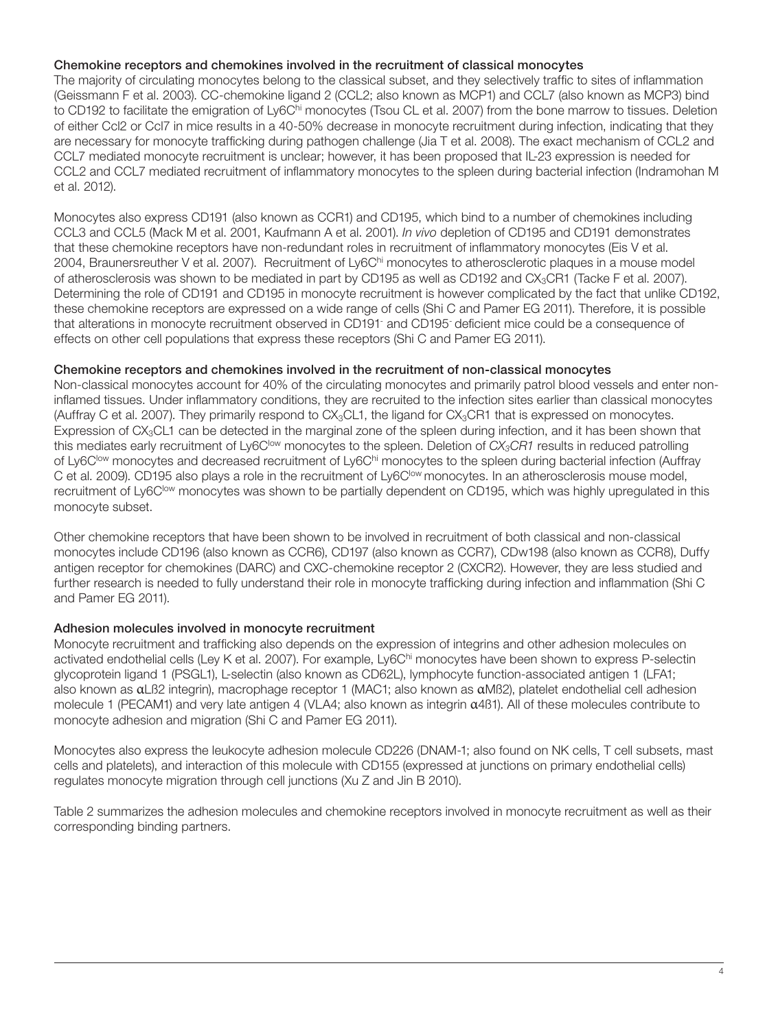## Chemokine receptors and chemokines involved in the recruitment of classical monocytes

The majority of circulating monocytes belong to the classical subset, and they selectively traffic to sites of inflammation (Geissmann F et al. 2003). CC-chemokine ligand 2 (CCL2; also known as MCP1) and CCL7 (also known as MCP3) bind to CD192 to facilitate the emigration of Ly6Chi monocytes (Tsou CL et al. 2007) from the bone marrow to tissues. Deletion of either Ccl2 or Ccl7 in mice results in a 40-50% decrease in monocyte recruitment during infection, indicating that they are necessary for monocyte trafficking during pathogen challenge (Jia T et al. 2008). The exact mechanism of CCL2 and CCL7 mediated monocyte recruitment is unclear; however, it has been proposed that IL-23 expression is needed for CCL2 and CCL7 mediated recruitment of inflammatory monocytes to the spleen during bacterial infection (Indramohan M et al. 2012).

Monocytes also express CD191 (also known as CCR1) and CD195, which bind to a number of chemokines including CCL3 and CCL5 (Mack M et al. 2001, Kaufmann A et al. 2001). *In vivo* depletion of CD195 and CD191 demonstrates that these chemokine receptors have non-redundant roles in recruitment of inflammatory monocytes (Eis V et al. 2004, Braunersreuther V et al. 2007). Recruitment of Ly6Chi monocytes to atherosclerotic plaques in a mouse model of atherosclerosis was shown to be mediated in part by CD195 as well as CD192 and CX<sub>3</sub>CR1 (Tacke F et al. 2007). Determining the role of CD191 and CD195 in monocyte recruitment is however complicated by the fact that unlike CD192, these chemokine receptors are expressed on a wide range of cells (Shi C and Pamer EG 2011). Therefore, it is possible that alterations in monocyte recruitment observed in CD191<sup>-</sup> and CD195<sup>-</sup> deficient mice could be a consequence of effects on other cell populations that express these receptors (Shi C and Pamer EG 2011).

## Chemokine receptors and chemokines involved in the recruitment of non-classical monocytes

Non-classical monocytes account for 40% of the circulating monocytes and primarily patrol blood vessels and enter noninflamed tissues. Under inflammatory conditions, they are recruited to the infection sites earlier than classical monocytes (Auffray C et al. 2007). They primarily respond to  $CX_3CL1$ , the ligand for  $CX_3CH1$  that is expressed on monocytes. Expression of CX<sub>3</sub>CL1 can be detected in the marginal zone of the spleen during infection, and it has been shown that this mediates early recruitment of Ly6C<sup>low</sup> monocytes to the spleen. Deletion of *CX<sub>3</sub>CR1* results in reduced patrolling of Ly6C<sup>low</sup> monocytes and decreased recruitment of Ly6C<sup>hi</sup> monocytes to the spleen during bacterial infection (Auffray C et al. 2009). CD195 also plays a role in the recruitment of Ly6C<sup>low</sup> monocytes. In an atherosclerosis mouse model, recruitment of Ly6C<sup>low</sup> monocytes was shown to be partially dependent on CD195, which was highly upregulated in this monocyte subset.

Other chemokine receptors that have been shown to be involved in recruitment of both classical and non-classical monocytes include CD196 (also known as CCR6), CD197 (also known as CCR7), CDw198 (also known as CCR8), Duffy antigen receptor for chemokines (DARC) and CXC-chemokine receptor 2 (CXCR2). However, they are less studied and further research is needed to fully understand their role in monocyte trafficking during infection and inflammation (Shi C and Pamer EG 2011).

## Adhesion molecules involved in monocyte recruitment

Monocyte recruitment and trafficking also depends on the expression of integrins and other adhesion molecules on activated endothelial cells (Ley K et al. 2007). For example, Ly6Chi monocytes have been shown to express P-selectin glycoprotein ligand 1 (PSGL1), L-selectin (also known as CD62L), lymphocyte function-associated antigen 1 (LFA1; also known as αLß2 integrin), macrophage receptor 1 (MAC1; also known as αMß2), platelet endothelial cell adhesion molecule 1 (PECAM1) and very late antigen 4 (VLA4; also known as integrin  $\alpha$ 4B1). All of these molecules contribute to monocyte adhesion and migration (Shi C and Pamer EG 2011).

Monocytes also express the leukocyte adhesion molecule CD226 (DNAM-1; also found on NK cells, T cell subsets, mast cells and platelets), and interaction of this molecule with CD155 (expressed at junctions on primary endothelial cells) regulates monocyte migration through cell junctions (Xu Z and Jin B 2010).

Table 2 summarizes the adhesion molecules and chemokine receptors involved in monocyte recruitment as well as their corresponding binding partners.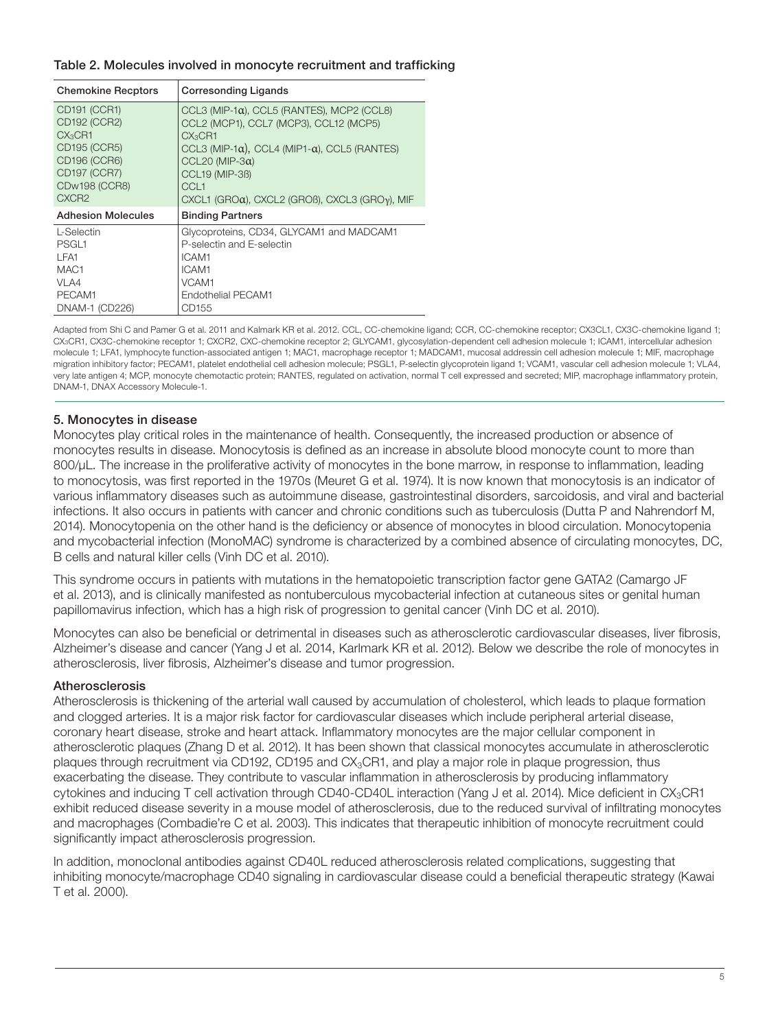## Table 2. Molecules involved in monocyte recruitment and trafficking

| <b>Chemokine Recptors</b> | <b>Corresonding Ligands</b>                                    |  |
|---------------------------|----------------------------------------------------------------|--|
| CD191 (CCR1)              | CCL3 (MIP-1a), CCL5 (RANTES), MCP2 (CCL8)                      |  |
| CD192 (CCR2)              | CCL2 (MCP1), CCL7 (MCP3), CCL12 (MCP5)                         |  |
| CX <sub>3</sub> CR1       | CX <sub>3</sub> CH1                                            |  |
| CD195 (CCR5)              | CCL3 (MIP-1 $\alpha$ ), CCL4 (MIP1- $\alpha$ ), CCL5 (RANTES)  |  |
| CD196 (CCR6)              | CCL20 (MIP-3 $\alpha$ )                                        |  |
| <b>CD197 (CCR7)</b>       | <b>CCL19 (MIP-3B)</b>                                          |  |
| <b>CDw198 (CCR8)</b>      | CCL <sub>1</sub>                                               |  |
| CXCR <sub>2</sub>         | $CXCL1$ (GRO $\alpha$ ), CXCL2 (GROB), CXCL3 (GRO $\nu$ ), MIF |  |
| <b>Adhesion Molecules</b> | <b>Binding Partners</b>                                        |  |
| L-Selectin                | Glycoproteins, CD34, GLYCAM1 and MADCAM1                       |  |
| PSGL <sub>1</sub>         | P-selectin and E-selectin                                      |  |
| I FA1                     | ICAM1                                                          |  |
| MAC <sub>1</sub>          | ICAM1                                                          |  |
| VLA4                      | VCAM1                                                          |  |
| PECAM1                    | Endothelial PECAM1                                             |  |
| DNAM-1 (CD226)            | CD155                                                          |  |

Adapted from Shi C and Pamer G et al. 2011 and Kalmark KR et al. 2012. CCL, CC-chemokine ligand; CCR, CC-chemokine receptor; CX3CL1, CX3C-chemokine ligand 1; CX3CR1, CX3C-chemokine receptor 1; CXCR2, CXC-chemokine receptor 2; GLYCAM1, glycosylation-dependent cell adhesion molecule 1; ICAM1, intercellular adhesion molecule 1; LFA1, lymphocyte function-associated antigen 1; MAC1, macrophage receptor 1; MADCAM1, mucosal addressin cell adhesion molecule 1; MIF, macrophage migration inhibitory factor; PECAM1, platelet endothelial cell adhesion molecule; PSGL1, P-selectin glycoprotein ligand 1; VCAM1, vascular cell adhesion molecule 1; VLA4, very late antigen 4; MCP, monocyte chemotactic protein; RANTES, regulated on activation, normal T cell expressed and secreted; MIP, macrophage inflammatory protein, DNAM-1, DNAX Accessory Molecule-1.

## 5. Monocytes in disease

Monocytes play critical roles in the maintenance of health. Consequently, the increased production or absence of monocytes results in disease. Monocytosis is defined as an increase in absolute blood monocyte count to more than 800/ $\mu$ L. The increase in the proliferative activity of monocytes in the bone marrow, in response to inflammation, leading to monocytosis, was first reported in the 1970s (Meuret G et al. 1974). It is now known that monocytosis is an indicator of various inflammatory diseases such as autoimmune disease, gastrointestinal disorders, sarcoidosis, and viral and bacterial infections. It also occurs in patients with cancer and chronic conditions such as tuberculosis (Dutta P and Nahrendorf M, 2014). Monocytopenia on the other hand is the deficiency or absence of monocytes in blood circulation. Monocytopenia and mycobacterial infection (MonoMAC) syndrome is characterized by a combined absence of circulating monocytes, DC, B cells and natural killer cells (Vinh DC et al. 2010).

This syndrome occurs in patients with mutations in the hematopoietic transcription factor gene GATA2 (Camargo JF et al. 2013), and is clinically manifested as nontuberculous mycobacterial infection at cutaneous sites or genital human papillomavirus infection, which has a high risk of progression to genital cancer (Vinh DC et al. 2010).

Monocytes can also be beneficial or detrimental in diseases such as atherosclerotic cardiovascular diseases, liver fibrosis, Alzheimer's disease and cancer (Yang J et al. 2014, Karlmark KR et al. 2012). Below we describe the role of monocytes in atherosclerosis, liver fibrosis, Alzheimer's disease and tumor progression.

## Atherosclerosis

Atherosclerosis is thickening of the arterial wall caused by accumulation of cholesterol, which leads to plaque formation and clogged arteries. It is a major risk factor for cardiovascular diseases which include peripheral arterial disease, coronary heart disease, stroke and heart attack. Inflammatory monocytes are the major cellular component in atherosclerotic plaques (Zhang D et al. 2012). It has been shown that classical monocytes accumulate in atherosclerotic plaques through recruitment via CD192, CD195 and CX<sub>3</sub>CR1, and play a major role in plaque progression, thus exacerbating the disease. They contribute to vascular inflammation in atherosclerosis by producing inflammatory cytokines and inducing T cell activation through CD40-CD40L interaction (Yang J et al. 2014). Mice deficient in CX3CR1 exhibit reduced disease severity in a mouse model of atherosclerosis, due to the reduced survival of infiltrating monocytes and macrophages (Combadie're C et al. 2003). This indicates that therapeutic inhibition of monocyte recruitment could significantly impact atherosclerosis progression.

In addition, monoclonal antibodies against CD40L reduced atherosclerosis related complications, suggesting that inhibiting monocyte/macrophage CD40 signaling in cardiovascular disease could a beneficial therapeutic strategy (Kawai T et al. 2000).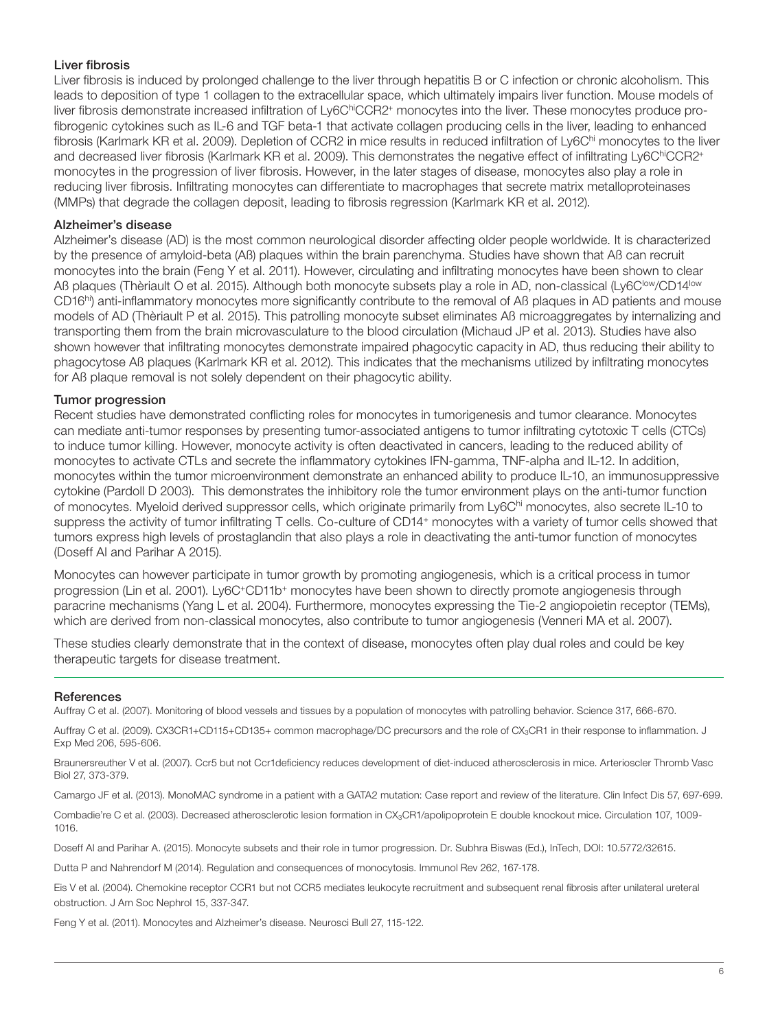## Liver fibrosis

Liver fibrosis is induced by prolonged challenge to the liver through hepatitis B or C infection or chronic alcoholism. This leads to deposition of type 1 collagen to the extracellular space, which ultimately impairs liver function. Mouse models of liver fibrosis demonstrate increased infiltration of Ly6ChiCCR2+ monocytes into the liver. These monocytes produce profibrogenic cytokines such as IL-6 and TGF beta-1 that activate collagen producing cells in the liver, leading to enhanced fibrosis (Karlmark KR et al. 2009). Depletion of CCR2 in mice results in reduced infiltration of Ly6C<sup>hi</sup> monocytes to the liver and decreased liver fibrosis (Karlmark KR et al. 2009). This demonstrates the negative effect of infiltrating Ly6ChiCCR2+ monocytes in the progression of liver fibrosis. However, in the later stages of disease, monocytes also play a role in reducing liver fibrosis. Infiltrating monocytes can differentiate to macrophages that secrete matrix metalloproteinases (MMPs) that degrade the collagen deposit, leading to fibrosis regression (Karlmark KR et al. 2012).

## Alzheimer's disease

Alzheimer's disease (AD) is the most common neurological disorder affecting older people worldwide. It is characterized by the presence of amyloid-beta (Aß) plaques within the brain parenchyma. Studies have shown that Aß can recruit monocytes into the brain (Feng Y et al. 2011). However, circulating and infiltrating monocytes have been shown to clear Aß plaques (Thèriault O et al. 2015). Although both monocyte subsets play a role in AD, non-classical (Ly6C<sup>low</sup>/CD14<sup>low</sup> CD16hi) anti-inflammatory monocytes more significantly contribute to the removal of Aß plaques in AD patients and mouse models of AD (Thèriault P et al. 2015). This patrolling monocyte subset eliminates Aß microaggregates by internalizing and transporting them from the brain microvasculature to the blood circulation (Michaud JP et al. 2013). Studies have also shown however that infiltrating monocytes demonstrate impaired phagocytic capacity in AD, thus reducing their ability to phagocytose Aß plaques (Karlmark KR et al. 2012). This indicates that the mechanisms utilized by infiltrating monocytes for Aß plaque removal is not solely dependent on their phagocytic ability.

## Tumor progression

Recent studies have demonstrated conflicting roles for monocytes in tumorigenesis and tumor clearance. Monocytes can mediate anti-tumor responses by presenting tumor-associated antigens to tumor infiltrating cytotoxic T cells (CTCs) to induce tumor killing. However, monocyte activity is often deactivated in cancers, leading to the reduced ability of monocytes to activate CTLs and secrete the inflammatory cytokines IFN-gamma, TNF-alpha and IL-12. In addition, monocytes within the tumor microenvironment demonstrate an enhanced ability to produce IL-10, an immunosuppressive cytokine (Pardoll D 2003). This demonstrates the inhibitory role the tumor environment plays on the anti-tumor function of monocytes. Myeloid derived suppressor cells, which originate primarily from Ly6Chi monocytes, also secrete IL-10 to suppress the activity of tumor infiltrating T cells. Co-culture of CD14+ monocytes with a variety of tumor cells showed that tumors express high levels of prostaglandin that also plays a role in deactivating the anti-tumor function of monocytes (Doseff AI and Parihar A 2015).

Monocytes can however participate in tumor growth by promoting angiogenesis, which is a critical process in tumor progression (Lin et al. 2001). Ly6C+CD11b+ monocytes have been shown to directly promote angiogenesis through paracrine mechanisms (Yang L et al. 2004). Furthermore, monocytes expressing the Tie-2 angiopoietin receptor (TEMs), which are derived from non-classical monocytes, also contribute to tumor angiogenesis (Venneri MA et al. 2007).

These studies clearly demonstrate that in the context of disease, monocytes often play dual roles and could be key therapeutic targets for disease treatment.

## **References**

Auffray C et al. (2007). Monitoring of blood vessels and tissues by a population of monocytes with patrolling behavior. Science 317, 666-670.

Auffray C et al. (2009). CX3CR1+CD115+CD135+ common macrophage/DC precursors and the role of CX3CR1 in their response to inflammation. J Exp Med 206, 595-606.

Braunersreuther V et al. (2007). Ccr5 but not Ccr1deficiency reduces development of diet-induced atherosclerosis in mice. Arterioscler Thromb Vasc Biol 27, 373-379.

Camargo JF et al. (2013). MonoMAC syndrome in a patient with a GATA2 mutation: Case report and review of the literature. Clin Infect Dis 57, 697-699.

Combadie're C et al. (2003). Decreased atherosclerotic lesion formation in CX3CR1/apolipoprotein E double knockout mice. Circulation 107, 1009- 1016.

Doseff AI and Parihar A. (2015). Monocyte subsets and their role in tumor progression. Dr. Subhra Biswas (Ed.), InTech, DOI: 10.5772/32615.

Dutta P and Nahrendorf M (2014). Regulation and consequences of monocytosis. Immunol Rev 262, 167-178.

Eis V et al. (2004). Chemokine receptor CCR1 but not CCR5 mediates leukocyte recruitment and subsequent renal fibrosis after unilateral ureteral obstruction. J Am Soc Nephrol 15, 337-347.

Feng Y et al. (2011). Monocytes and Alzheimer's disease. Neurosci Bull 27, 115-122.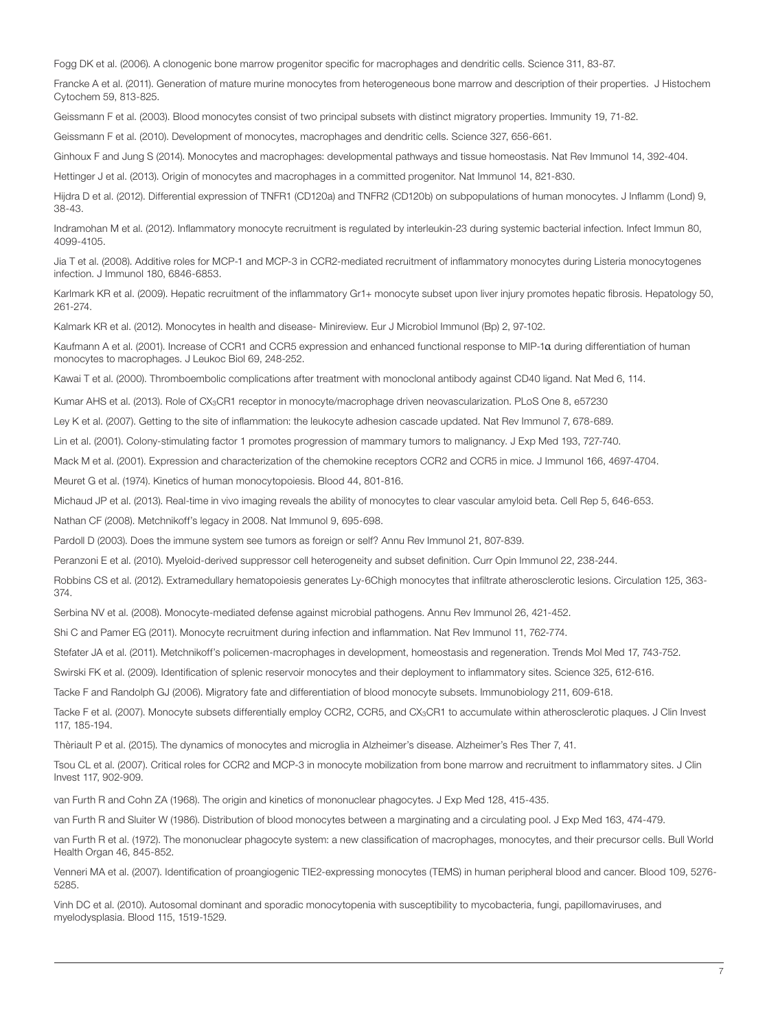Fogg DK et al. (2006). A clonogenic bone marrow progenitor specific for macrophages and dendritic cells. Science 311, 83-87.

Francke A et al. (2011). Generation of mature murine monocytes from heterogeneous bone marrow and description of their properties. J Histochem Cytochem 59, 813-825.

Geissmann F et al. (2003). Blood monocytes consist of two principal subsets with distinct migratory properties. Immunity 19, 71-82.

Geissmann F et al. (2010). Development of monocytes, macrophages and dendritic cells. Science 327, 656-661.

Ginhoux F and Jung S (2014). Monocytes and macrophages: developmental pathways and tissue homeostasis. Nat Rev Immunol 14, 392-404.

Hettinger J et al. (2013). Origin of monocytes and macrophages in a committed progenitor. Nat Immunol 14, 821-830.

Hijdra D et al. (2012). Differential expression of TNFR1 (CD120a) and TNFR2 (CD120b) on subpopulations of human monocytes. J Inflamm (Lond) 9, 38-43.

Indramohan M et al. (2012). Inflammatory monocyte recruitment is regulated by interleukin-23 during systemic bacterial infection. Infect Immun 80, 4099-4105.

Jia T et al. (2008). Additive roles for MCP-1 and MCP-3 in CCR2-mediated recruitment of inflammatory monocytes during Listeria monocytogenes infection. J Immunol 180, 6846-6853.

Karlmark KR et al. (2009). Hepatic recruitment of the inflammatory Gr1+ monocyte subset upon liver injury promotes hepatic fibrosis. Hepatology 50, 261-274.

Kalmark KR et al. (2012). Monocytes in health and disease- Minireview. Eur J Microbiol Immunol (Bp) 2, 97-102.

Kaufmann A et al. (2001). Increase of CCR1 and CCR5 expression and enhanced functional response to MIP-1α during differentiation of human monocytes to macrophages. J Leukoc Biol 69, 248-252.

Kawai T et al. (2000). Thromboembolic complications after treatment with monoclonal antibody against CD40 ligand. Nat Med 6, 114.

Kumar AHS et al. (2013). Role of CX<sub>3</sub>CR1 receptor in monocyte/macrophage driven neovascularization. PLoS One 8, e57230

Ley K et al. (2007). Getting to the site of inflammation: the leukocyte adhesion cascade updated. Nat Rev Immunol 7, 678-689.

Lin et al. (2001). Colony-stimulating factor 1 promotes progression of mammary tumors to malignancy. J Exp Med 193, 727-740.

Mack M et al. (2001). Expression and characterization of the chemokine receptors CCR2 and CCR5 in mice. J Immunol 166, 4697-4704.

Meuret G et al. (1974). Kinetics of human monocytopoiesis. Blood 44, 801-816.

Michaud JP et al. (2013). Real-time in vivo imaging reveals the ability of monocytes to clear vascular amyloid beta. Cell Rep 5, 646-653.

Nathan CF (2008). Metchnikoff's legacy in 2008. Nat Immunol 9, 695-698.

Pardoll D (2003). Does the immune system see tumors as foreign or self? Annu Rev Immunol 21, 807-839.

Peranzoni E et al. (2010). Myeloid-derived suppressor cell heterogeneity and subset definition. Curr Opin Immunol 22, 238-244.

Robbins CS et al. (2012). Extramedullary hematopoiesis generates Ly-6Chigh monocytes that infiltrate atherosclerotic lesions. Circulation 125, 363- 374.

Serbina NV et al. (2008). Monocyte-mediated defense against microbial pathogens. Annu Rev Immunol 26, 421-452.

Shi C and Pamer EG (2011). Monocyte recruitment during infection and inflammation. Nat Rev Immunol 11, 762-774.

Stefater JA et al. (2011). Metchnikoff's policemen-macrophages in development, homeostasis and regeneration. Trends Mol Med 17, 743-752.

Swirski FK et al. (2009). Identification of splenic reservoir monocytes and their deployment to inflammatory sites. Science 325, 612-616.

Tacke F and Randolph GJ (2006). Migratory fate and differentiation of blood monocyte subsets. Immunobiology 211, 609-618.

Tacke F et al. (2007). Monocyte subsets differentially employ CCR2, CCR5, and CX<sub>3</sub>CR1 to accumulate within atherosclerotic plaques. J Clin Invest 117, 185-194.

Thèriault P et al. (2015). The dynamics of monocytes and microglia in Alzheimer's disease. Alzheimer's Res Ther 7, 41.

Tsou CL et al. (2007). Critical roles for CCR2 and MCP-3 in monocyte mobilization from bone marrow and recruitment to inflammatory sites. J Clin Invest 117, 902-909.

van Furth R and Cohn ZA (1968). The origin and kinetics of mononuclear phagocytes. J Exp Med 128, 415-435.

van Furth R and Sluiter W (1986). Distribution of blood monocytes between a marginating and a circulating pool. J Exp Med 163, 474-479.

van Furth R et al. (1972). The mononuclear phagocyte system: a new classification of macrophages, monocytes, and their precursor cells. Bull World Health Organ 46, 845-852.

Venneri MA et al. (2007). Identification of proangiogenic TIE2-expressing monocytes (TEMS) in human peripheral blood and cancer. Blood 109, 5276- 5285.

Vinh DC et al. (2010). Autosomal dominant and sporadic monocytopenia with susceptibility to mycobacteria, fungi, papillomaviruses, and myelodysplasia. Blood 115, 1519-1529.